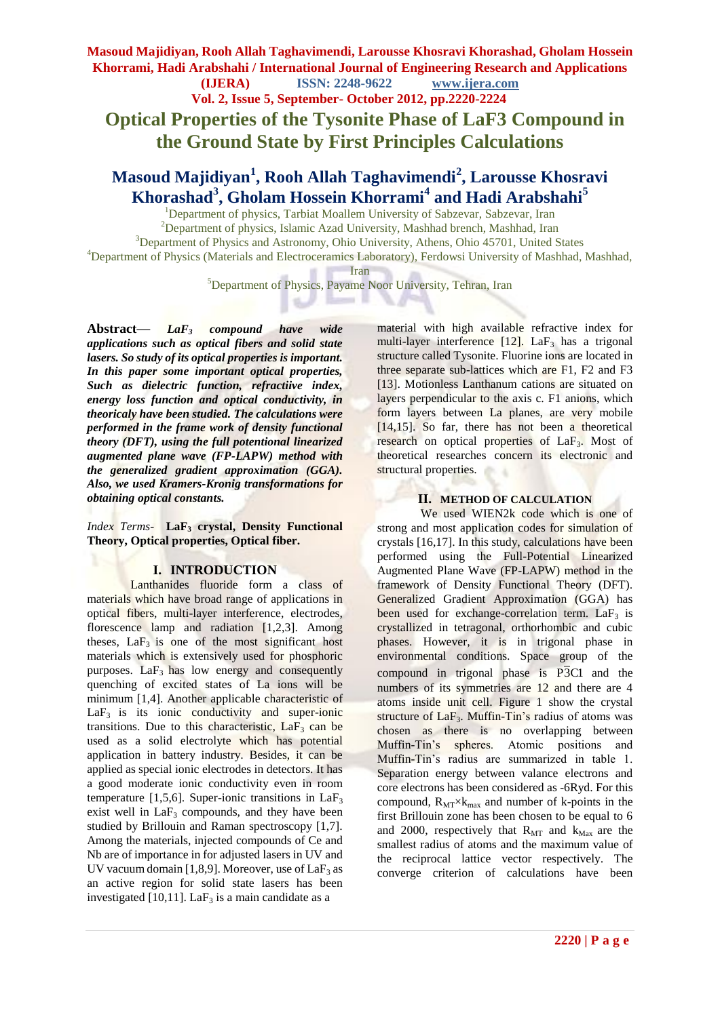**Vol. 2, Issue 5, September- October 2012, pp.2220-2224**

 **Optical Properties of the Tysonite Phase of LaF3 Compound in the Ground State by First Principles Calculations**

# **Masoud Majidiyan<sup>1</sup> , Rooh Allah Taghavimendi<sup>2</sup> , Larousse Khosravi Khorashad<sup>3</sup> , Gholam Hossein Khorrami<sup>4</sup> and Hadi Arabshahi<sup>5</sup>**

<sup>1</sup>Department of physics, Tarbiat Moallem University of Sabzevar, Sabzevar, Iran

<sup>2</sup>Department of physics, Islamic Azad University, Mashhad brench, Mashhad, Iran <sup>3</sup>Department of Physics and Astronomy, Ohio University, Athens, Ohio 45701, United States <sup>4</sup>Department of Physics (Materials and Electroceramics Laboratory), Ferdowsi University of Mashhad, Mashhad,

Iran

<sup>5</sup>Department of Physics, Payame Noor University, Tehran, Iran - 11

w

- 16

**Abstract—** *LaF<sup>3</sup> compound have wide applications such as optical fibers and solid state lasers. So study of its optical properties is important. In this paper some important optical properties, Such as dielectric function, refractiive index, energy loss function and optical conductivity, in theoricaly have been studied. The calculations were performed in the frame work of density functional theory (DFT), using the full potentional linearized augmented plane wave (FP-LAPW) method with the generalized gradient approximation (GGA). Also, we used Kramers-Kronig transformations for obtaining optical constants.*

*Index Terms*- **LaF<sup>3</sup> crystal, Density Functional Theory, Optical properties, Optical fiber.**

### **I. INTRODUCTION**

Lanthanides fluoride form a class of materials which have broad range of applications in optical fibers, multi-layer interference, electrodes, florescence lamp and radiation [1,2,3]. Among theses,  $LaF<sub>3</sub>$  is one of the most significant host materials which is extensively used for phosphoric purposes.  $LaF<sub>3</sub>$  has low energy and consequently quenching of excited states of La ions will be minimum [1,4]. Another applicable characteristic of  $LaF<sub>3</sub>$  is its ionic conductivity and super-ionic transitions. Due to this characteristic,  $LaF<sub>3</sub>$  can be used as a solid electrolyte which has potential application in battery industry. Besides, it can be applied as special ionic electrodes in detectors. It has a good moderate ionic conductivity even in room temperature [1,5,6]. Super-ionic transitions in  $LaF<sub>3</sub>$ exist well in  $LaF<sub>3</sub>$  compounds, and they have been studied by Brillouin and Raman spectroscopy [1,7]. Among the materials, injected compounds of Ce and Nb are of importance in for adjusted lasers in UV and UV vacuum domain [1,8,9]. Moreover, use of  $LaF<sub>3</sub>$  as an active region for solid state lasers has been investigated [10,11]. La $F_3$  is a main candidate as a

material with high available refractive index for multi-layer interference  $[12]$ . LaF<sub>3</sub> has a trigonal structure called Tysonite. Fluorine ions are located in three separate sub-lattices which are F1, F2 and F3 [13]. Motionless Lanthanum cations are situated on layers perpendicular to the axis c. F1 anions, which form layers between La planes, are very mobile  $[14,15]$ . So far, there has not been a theoretical research on optical properties of LaF<sub>3</sub>. Most of theoretical researches concern its electronic and structural properties.

# **II. METHOD OF CALCULATION**

We used WIEN2k code which is one of strong and most application codes for simulation of crystals [16,17]. In this study, calculations have been performed using the Full-Potential Linearized Augmented Plane Wave (FP-LAPW) method in the framework of Density Functional Theory (DFT). Generalized Gradient Approximation (GGA) has been used for exchange-correlation term.  $LaF<sub>3</sub>$  is crystallized in tetragonal, orthorhombic and cubic phases. However, it is in trigonal phase in environmental conditions. Space group of the compound in trigonal phase is P3C1 and the numbers of its symmetries are 12 and there are 4 atoms inside unit cell. Figure 1 show the crystal structure of  $LaF<sub>3</sub>$ . Muffin-Tin's radius of atoms was chosen as there is no overlapping between Muffin-Tin's spheres. Atomic positions and Muffin-Tin's radius are summarized in table 1. Separation energy between valance electrons and core electrons has been considered as -6Ryd. For this compound,  $R_{MT} \times k_{max}$  and number of k-points in the first Brillouin zone has been chosen to be equal to 6 and 2000, respectively that  $R_{\text{MT}}$  and  $k_{\text{Max}}$  are the smallest radius of atoms and the maximum value of the reciprocal lattice vector respectively. The converge criterion of calculations have been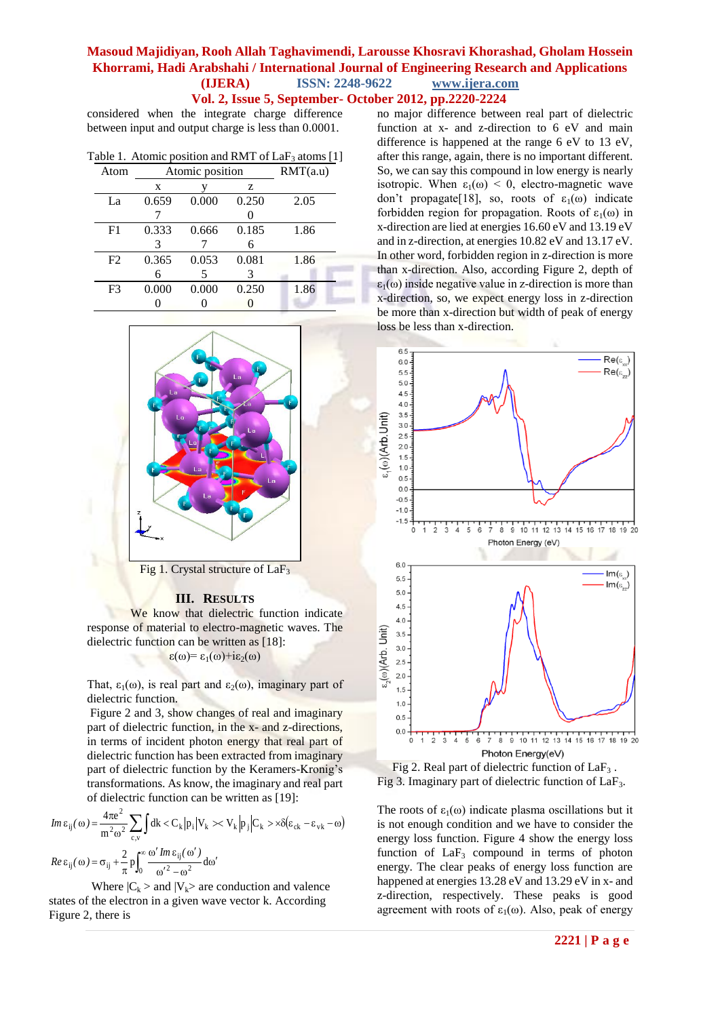**Vol. 2, Issue 5, September- October 2012, pp.2220-2224**

considered when the integrate charge difference between input and output charge is less than 0.0001.

| Table 1. Atomic position and RMT of $LaF3$ atoms [1] |  |  |  |  |  |  |
|------------------------------------------------------|--|--|--|--|--|--|
|------------------------------------------------------|--|--|--|--|--|--|

| Atom           | Atomic position |       |       | RMT(a.u) |  |  |
|----------------|-----------------|-------|-------|----------|--|--|
|                | X               |       | z     |          |  |  |
| La             | 0.659           | 0.000 | 0.250 | 2.05     |  |  |
|                |                 |       |       |          |  |  |
| F <sub>1</sub> | 0.333           | 0.666 | 0.185 | 1.86     |  |  |
|                | 3               |       | 6     |          |  |  |
| F <sub>2</sub> | 0.365           | 0.053 | 0.081 | 1.86     |  |  |
|                | 6               |       | 3     |          |  |  |
| F <sub>3</sub> | 0.000           | 0.000 | 0.250 | 1.86     |  |  |
|                |                 |       |       |          |  |  |



Fig 1. Crystal structure of LaF<sub>3</sub>

#### **III. RESULTS**

We know that dielectric function indicate response of material to electro-magnetic waves. The dielectric function can be written as [18]:  $\varepsilon(\omega) = \varepsilon_1(\omega) + i\varepsilon_2(\omega)$ 

That,  $\varepsilon_1(\omega)$ , is real part and  $\varepsilon_2(\omega)$ , imaginary part of dielectric function.

Figure 2 and 3, show changes of real and imaginary part of dielectric function, in the x- and z-directions, in terms of incident photon energy that real part of dielectric function has been extracted from imaginary part of dielectric function by the Keramers-Kronig's transformations. As know, the imaginary and real part of dielectric function can be written as [19]:

$$
Im \, \epsilon_{ij}(\omega) = \frac{4\pi e^2}{m^2 \omega^2} \sum_{c,v} \int dk < C_k |p_i| V_k \gg V_k |p_j| C_k > \times \delta(\epsilon_{ck} - \epsilon_{vk} - \omega)
$$
\n
$$
Re \, \epsilon_{ij}(\omega) = \sigma_{ij} + \frac{2}{\pi} p \int_0^\infty \frac{\omega' Im \, \epsilon_{ij}(\omega')}{\omega'^2 - \omega^2} d\omega'
$$

Where  $|C_k\rangle$  and  $|V_k\rangle$  are conduction and valence states of the electron in a given wave vector k. According Figure 2, there is

no major difference between real part of dielectric function at x- and z-direction to 6 eV and main difference is happened at the range 6 eV to 13 eV, after this range, again, there is no important different. So, we can say this compound in low energy is nearly isotropic. When  $\varepsilon_1(\omega) < 0$ , electro-magnetic wave don't propagate[18], so, roots of  $\varepsilon_1(\omega)$  indicate forbidden region for propagation. Roots of  $\varepsilon_1(\omega)$  in x-direction are lied at energies 16.60 eV and 13.19 eV and in z-direction, at energies 10.82 eV and 13.17 eV. In other word, forbidden region in z-direction is more than x-direction. Also, according Figure 2, depth of  $\varepsilon_1(\omega)$  inside negative value in z-direction is more than x-direction, so, we expect energy loss in z-direction be more than x-direction but width of peak of energy loss be less than x-direction.



Fig 2. Real part of dielectric function of  $LaF<sub>3</sub>$ . Fig 3. Imaginary part of dielectric function of LaF3.

The roots of  $\varepsilon_1(\omega)$  indicate plasma oscillations but it is not enough condition and we have to consider the energy loss function. Figure 4 show the energy loss function of  $LaF<sub>3</sub>$  compound in terms of photon energy. The clear peaks of energy loss function are happened at energies 13.28 eV and 13.29 eV in x- and z-direction, respectively. These peaks is good agreement with roots of  $\varepsilon_1(\omega)$ . Also, peak of energy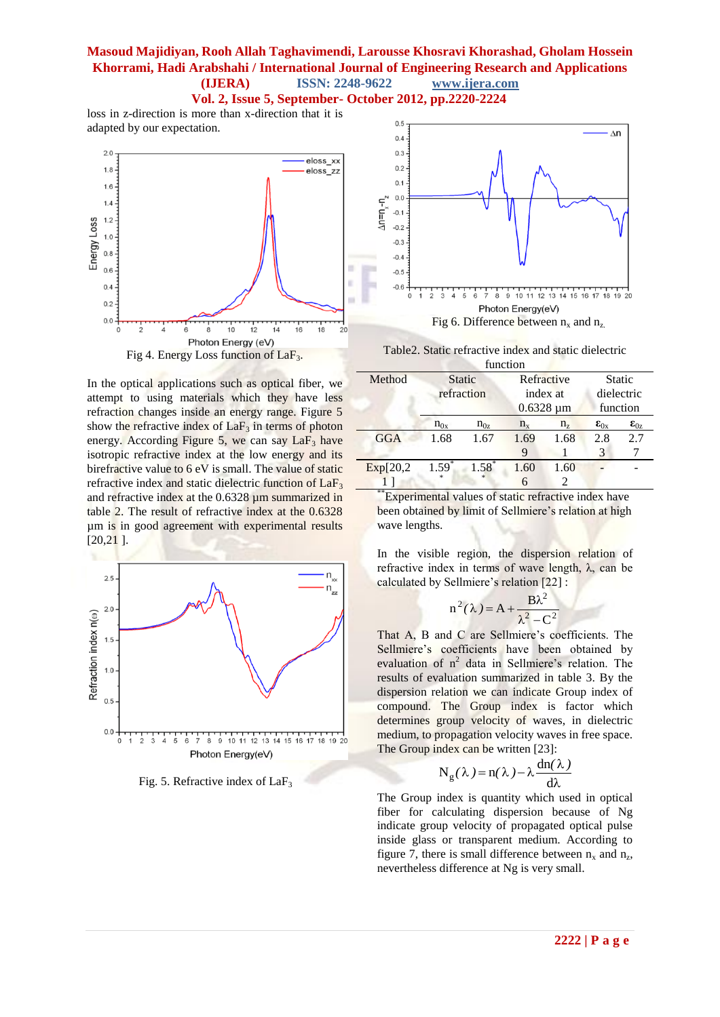**Vol. 2, Issue 5, September- October 2012, pp.2220-2224**

loss in z-direction is more than x-direction that it is adapted by our expectation.



In the optical applications such as optical fiber, we attempt to using materials which they have less refraction changes inside an energy range. Figure 5 show the refractive index of  $LaF<sub>3</sub>$  in terms of photon energy. According Figure 5, we can say  $LaF<sub>3</sub>$  have isotropic refractive index at the low energy and its birefractive value to 6 eV is small. The value of static refractive index and static dielectric function of  $LaF<sub>3</sub>$ and refractive index at the 0.6328 um summarized in table 2. The result of refractive index at the 0.6328 µm is in good agreement with experimental results [20,21 ].



Fig. 5. Refractive index of  $LaF<sub>3</sub>$ 



Table2. Static refractive index and static dielectric

| function   |                             |          |                        |             |                             |                 |
|------------|-----------------------------|----------|------------------------|-------------|-----------------------------|-----------------|
| Method     | <b>Static</b><br>refraction |          | Refractive<br>index at |             | <b>Static</b><br>dielectric |                 |
|            |                             |          | $0.6328 \mu m$         |             | function                    |                 |
|            | $n_{0x}$                    | $n_{0z}$ | $n_{x}$                | $n_{\rm z}$ | $\epsilon_{0x}$             | $\epsilon_{0z}$ |
| <b>GGA</b> | 1.68                        | 1.67     | 1.69                   | 1.68        | 2.8                         | 2.7             |
|            |                             |          | 9                      |             | 3                           |                 |
| Exp[20,2]  | $1.59*$                     | $1.58*$  | 1.60                   | 1.60        |                             |                 |
|            |                             |          | 6                      |             |                             |                 |

**Experimental values of static refractive index have** been obtained by limit of Sellmiere's relation at high wave lengths.

In the visible region, the dispersion relation of refractive index in terms of wave length, λ, can be calculated by Sellmiere's relation [22] :

$$
n^2(\lambda) = A + \frac{B\lambda^2}{\lambda^2 - C^2}
$$

That A, B and C are Sellmiere's coefficients. The Sellmiere's coefficients have been obtained by evaluation of  $n^2$  data in Sellmiere's relation. The results of evaluation summarized in table 3. By the dispersion relation we can indicate Group index of compound. The Group index is factor which determines group velocity of waves, in dielectric medium, to propagation velocity waves in free space. The Group index can be written [23]:

$$
N_g(\lambda)\!=\!n(\lambda\,)\!-\!\lambda\frac{dn(\lambda\,)}{d\lambda}
$$

The Group index is quantity which used in optical fiber for calculating dispersion because of Ng indicate group velocity of propagated optical pulse inside glass or transparent medium. According to figure 7, there is small difference between  $n_x$  and  $n_z$ , nevertheless difference at Ng is very small.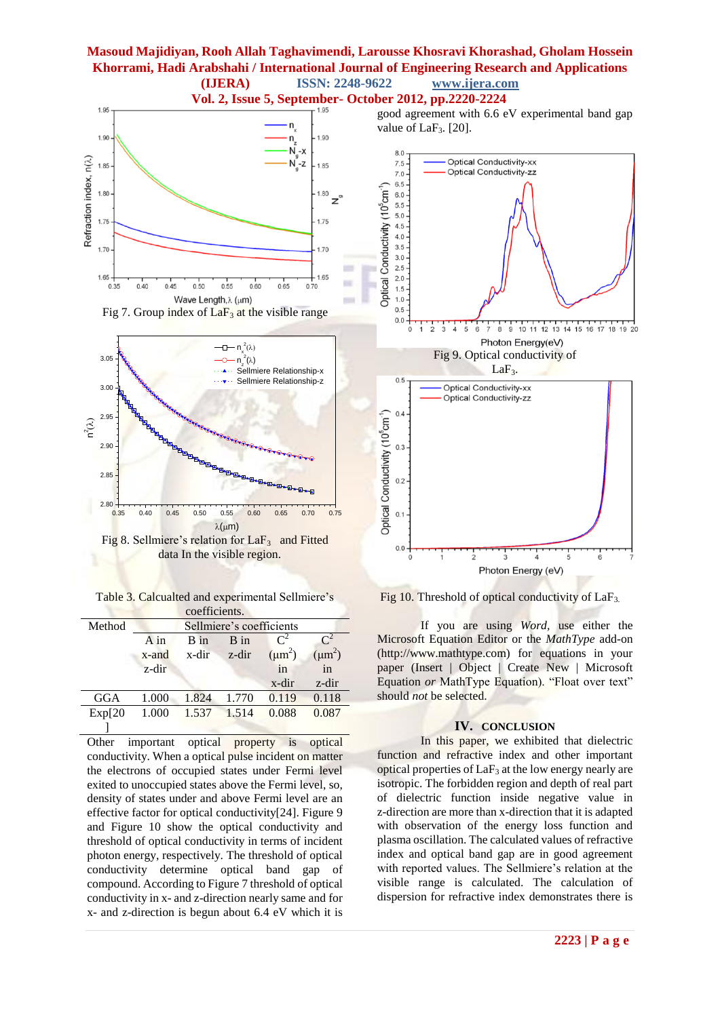value of  $LaF<sub>3</sub>$ . [20].





Table 3. Calcualted and experimental Sellmiere's coefficients.

|         |          | COULTURATIO.                                                  |       |             |             |  |
|---------|----------|---------------------------------------------------------------|-------|-------------|-------------|--|
| Method  |          | Sellmiere's coefficients                                      |       |             |             |  |
|         | $A$ in   | $\mathsf{C}^2$<br>$\mathsf{C}^2$<br>B in<br>$\overline{B}$ in |       |             |             |  |
|         | $x$ -and | x-dir                                                         | z-dir | $(\mu m^2)$ | $(\mu m^2)$ |  |
|         | $z$ -dir |                                                               |       | in          | in          |  |
|         |          |                                                               |       | x-dir       | z-dir       |  |
| GGA     | 1.000    | 1.824                                                         | 1.770 | 0.119       | 0.118       |  |
| Exp[20] | 1.000    | 1.537                                                         | 1.514 | 0.088       | 0.087       |  |
|         |          |                                                               |       |             |             |  |

Other important optical property is optical conductivity. When a optical pulse incident on matter the electrons of occupied states under Fermi level exited to unoccupied states above the Fermi level, so, density of states under and above Fermi level are an effective factor for optical conductivity[24]. Figure 9 and Figure 10 show the optical conductivity and threshold of optical conductivity in terms of incident photon energy, respectively. The threshold of optical conductivity determine optical band gap of compound. According to Figure 7 threshold of optical conductivity in x- and z-direction nearly same and for x- and z-direction is begun about 6.4 eV which it is



good agreement with 6.6 eV experimental band gap

Fig 10. Threshold of optical conductivity of  $LaF<sub>3</sub>$ .

If you are using *Word,* use either the Microsoft Equation Editor or the *MathType* add-on (http://www.mathtype.com) for equations in your paper (Insert | Object | Create New | Microsoft Equation *or* MathType Equation). "Float over text" should *not* be selected.

#### **IV. CONCLUSION**

In this paper, we exhibited that dielectric function and refractive index and other important optical properties of  $LaF<sub>3</sub>$  at the low energy nearly are isotropic. The forbidden region and depth of real part of dielectric function inside negative value in z-direction are more than x-direction that it is adapted with observation of the energy loss function and plasma oscillation. The calculated values of refractive index and optical band gap are in good agreement with reported values. The Sellmiere's relation at the visible range is calculated. The calculation of dispersion for refractive index demonstrates there is